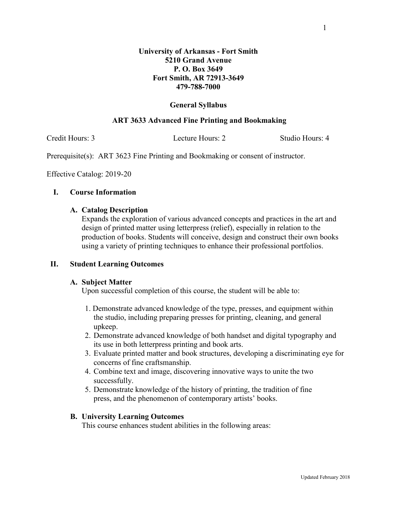# **Fort Smith, AR 72913-3649 479-788-7000**

## **General Syllabus**

## **ART 3633 Advanced Fine Printing and Bookmaking**

Credit Hours: 3 Lecture Hours: 2 Studio Hours: 4

Prerequisite(s): ART 3623 Fine Printing and Bookmaking or consent of instructor.

Effective Catalog: 2019-20

## **I. Course Information**

### **A. Catalog Description**

Expands the exploration of various advanced concepts and practices in the art and design of printed matter using letterpress (relief), especially in relation to the production of books. Students will conceive, design and construct their own books using a variety of printing techniques to enhance their professional portfolios.

### **II. Student Learning Outcomes**

### **A. Subject Matter**

Upon successful completion of this course, the student will be able to:

- 1. Demonstrate advanced knowledge of the type, presses, and equipment within the studio, including preparing presses for printing, cleaning, and general upkeep.
- 2. Demonstrate advanced knowledge of both handset and digital typography and its use in both letterpress printing and book arts.
- 3. Evaluate printed matter and book structures, developing a discriminating eye for concerns of fine craftsmanship.
- 4. Combine text and image, discovering innovative ways to unite the two successfully.
- 5. Demonstrate knowledge of the history of printing, the tradition of fine press, and the phenomenon of contemporary artists' books.

### **B. University Learning Outcomes**

This course enhances student abilities in the following areas: